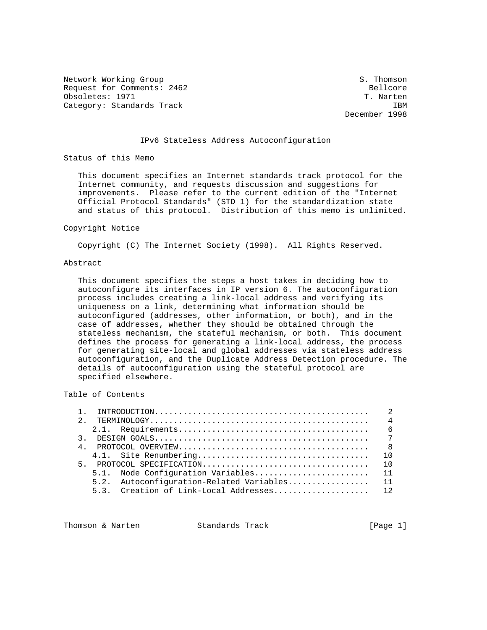Network Working Group S. Thomson Request for Comments: 2462 Bellcore Obsoletes: 1971 T. Narten Category: Standards Track IBM

December 1998

## IPv6 Stateless Address Autoconfiguration

Status of this Memo

 This document specifies an Internet standards track protocol for the Internet community, and requests discussion and suggestions for improvements. Please refer to the current edition of the "Internet Official Protocol Standards" (STD 1) for the standardization state and status of this protocol. Distribution of this memo is unlimited.

#### Copyright Notice

Copyright (C) The Internet Society (1998). All Rights Reserved.

#### Abstract

 This document specifies the steps a host takes in deciding how to autoconfigure its interfaces in IP version 6. The autoconfiguration process includes creating a link-local address and verifying its uniqueness on a link, determining what information should be autoconfigured (addresses, other information, or both), and in the case of addresses, whether they should be obtained through the stateless mechanism, the stateful mechanism, or both. This document defines the process for generating a link-local address, the process for generating site-local and global addresses via stateless address autoconfiguration, and the Duplicate Address Detection procedure. The details of autoconfiguration using the stateful protocol are specified elsewhere.

# Table of Contents

|               |                                       | $\overline{4}$ |
|---------------|---------------------------------------|----------------|
|               |                                       | 6              |
| $\mathcal{R}$ |                                       | 7              |
|               |                                       | 8              |
|               |                                       |                |
| $5 -$         |                                       | 1 በ            |
|               | 5.1. Node Configuration Variables     | 11             |
| 5.2.          | Autoconfiguration-Related Variables   | 11             |
|               | 5.3. Creation of Link-Local Addresses | 1 2            |

Thomson & Narten Standards Track [Page 1]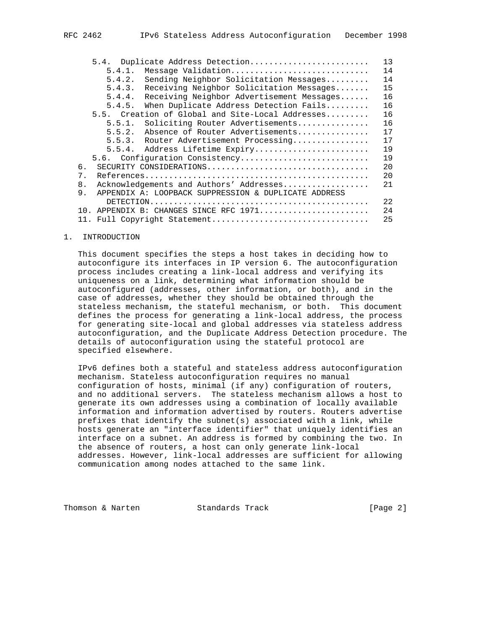| 5.4. Duplicate Address Detection                           | 13 |
|------------------------------------------------------------|----|
| Message Validation<br>5.4.1.                               | 14 |
| Sending Neighbor Solicitation Messages<br>5.4.2.           | 14 |
| Receiving Neighbor Solicitation Messages<br>5.4.3.         | 15 |
| Receiving Neighbor Advertisement Messages<br>5.4.4.        | 16 |
| When Duplicate Address Detection Fails<br>5.4.5.           | 16 |
| 5.5. Creation of Global and Site-Local Addresses           | 16 |
| Soliciting Router Advertisements<br>5.5.1.                 | 16 |
| Absence of Router Advertisements<br>5.5.2.                 | 17 |
| Router Advertisement Processing<br>5.5.3.                  | 17 |
| Address Lifetime Expiry<br>5.5.4.                          | 19 |
| 5.6. Configuration Consistency                             | 19 |
| б.<br>SECURITY CONSIDERATIONS                              | 20 |
| 7.                                                         | 20 |
| 8.<br>Acknowledgements and Authors' Addresses              | 21 |
| 9.<br>APPENDIX A: LOOPBACK SUPPRESSION & DUPLICATE ADDRESS |    |
| DETECTION.                                                 | 22 |
| 10. APPENDIX B: CHANGES SINCE RFC $1971$                   | 24 |
| 11. Full Copyright Statement                               | 25 |

#### 1. INTRODUCTION

 This document specifies the steps a host takes in deciding how to autoconfigure its interfaces in IP version 6. The autoconfiguration process includes creating a link-local address and verifying its uniqueness on a link, determining what information should be autoconfigured (addresses, other information, or both), and in the case of addresses, whether they should be obtained through the stateless mechanism, the stateful mechanism, or both. This document defines the process for generating a link-local address, the process for generating site-local and global addresses via stateless address autoconfiguration, and the Duplicate Address Detection procedure. The details of autoconfiguration using the stateful protocol are specified elsewhere.

 IPv6 defines both a stateful and stateless address autoconfiguration mechanism. Stateless autoconfiguration requires no manual configuration of hosts, minimal (if any) configuration of routers, and no additional servers. The stateless mechanism allows a host to generate its own addresses using a combination of locally available information and information advertised by routers. Routers advertise prefixes that identify the subnet(s) associated with a link, while hosts generate an "interface identifier" that uniquely identifies an interface on a subnet. An address is formed by combining the two. In the absence of routers, a host can only generate link-local addresses. However, link-local addresses are sufficient for allowing communication among nodes attached to the same link.

Thomson & Narten Standards Track [Page 2]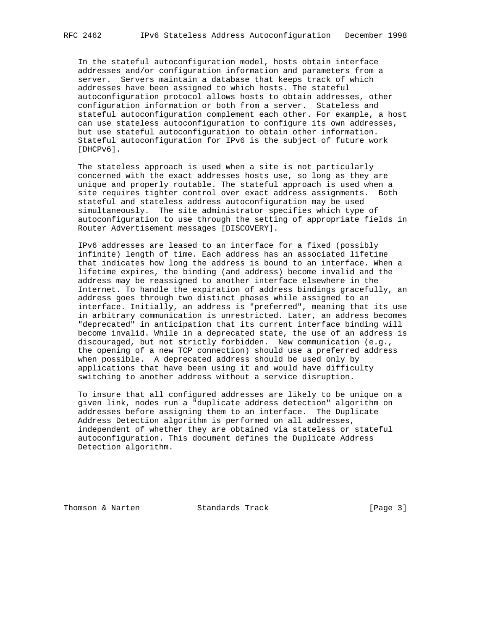In the stateful autoconfiguration model, hosts obtain interface addresses and/or configuration information and parameters from a server. Servers maintain a database that keeps track of which addresses have been assigned to which hosts. The stateful autoconfiguration protocol allows hosts to obtain addresses, other configuration information or both from a server. Stateless and stateful autoconfiguration complement each other. For example, a host can use stateless autoconfiguration to configure its own addresses, but use stateful autoconfiguration to obtain other information. Stateful autoconfiguration for IPv6 is the subject of future work [DHCPv6].

 The stateless approach is used when a site is not particularly concerned with the exact addresses hosts use, so long as they are unique and properly routable. The stateful approach is used when a site requires tighter control over exact address assignments. Both stateful and stateless address autoconfiguration may be used simultaneously. The site administrator specifies which type of autoconfiguration to use through the setting of appropriate fields in Router Advertisement messages [DISCOVERY].

 IPv6 addresses are leased to an interface for a fixed (possibly infinite) length of time. Each address has an associated lifetime that indicates how long the address is bound to an interface. When a lifetime expires, the binding (and address) become invalid and the address may be reassigned to another interface elsewhere in the Internet. To handle the expiration of address bindings gracefully, an address goes through two distinct phases while assigned to an interface. Initially, an address is "preferred", meaning that its use in arbitrary communication is unrestricted. Later, an address becomes "deprecated" in anticipation that its current interface binding will become invalid. While in a deprecated state, the use of an address is discouraged, but not strictly forbidden. New communication (e.g., the opening of a new TCP connection) should use a preferred address when possible. A deprecated address should be used only by applications that have been using it and would have difficulty switching to another address without a service disruption.

 To insure that all configured addresses are likely to be unique on a given link, nodes run a "duplicate address detection" algorithm on addresses before assigning them to an interface. The Duplicate Address Detection algorithm is performed on all addresses, independent of whether they are obtained via stateless or stateful autoconfiguration. This document defines the Duplicate Address Detection algorithm.

Thomson & Narten Standards Track [Page 3]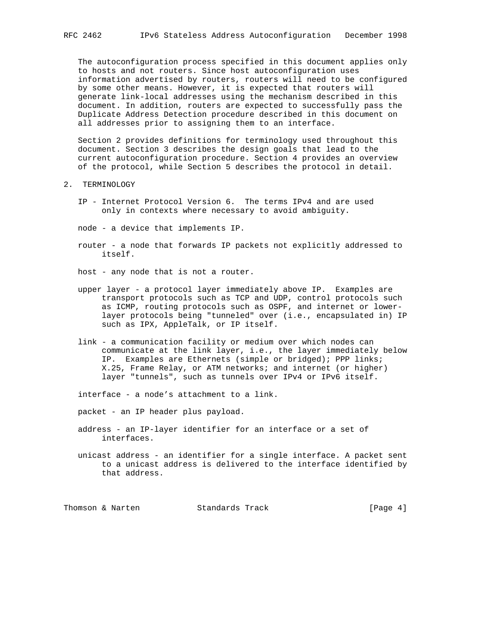The autoconfiguration process specified in this document applies only to hosts and not routers. Since host autoconfiguration uses information advertised by routers, routers will need to be configured by some other means. However, it is expected that routers will generate link-local addresses using the mechanism described in this document. In addition, routers are expected to successfully pass the Duplicate Address Detection procedure described in this document on all addresses prior to assigning them to an interface.

 Section 2 provides definitions for terminology used throughout this document. Section 3 describes the design goals that lead to the current autoconfiguration procedure. Section 4 provides an overview of the protocol, while Section 5 describes the protocol in detail.

- 2. TERMINOLOGY
	- IP Internet Protocol Version 6. The terms IPv4 and are used only in contexts where necessary to avoid ambiguity.

node - a device that implements IP.

- router a node that forwards IP packets not explicitly addressed to itself.
- host any node that is not a router.
- upper layer a protocol layer immediately above IP. Examples are transport protocols such as TCP and UDP, control protocols such as ICMP, routing protocols such as OSPF, and internet or lower layer protocols being "tunneled" over (i.e., encapsulated in) IP such as IPX, AppleTalk, or IP itself.
- link a communication facility or medium over which nodes can communicate at the link layer, i.e., the layer immediately below IP. Examples are Ethernets (simple or bridged); PPP links; X.25, Frame Relay, or ATM networks; and internet (or higher) layer "tunnels", such as tunnels over IPv4 or IPv6 itself.

interface - a node's attachment to a link.

packet - an IP header plus payload.

- address an IP-layer identifier for an interface or a set of interfaces.
- unicast address an identifier for a single interface. A packet sent to a unicast address is delivered to the interface identified by that address.

Thomson & Narten Standards Track [Page 4]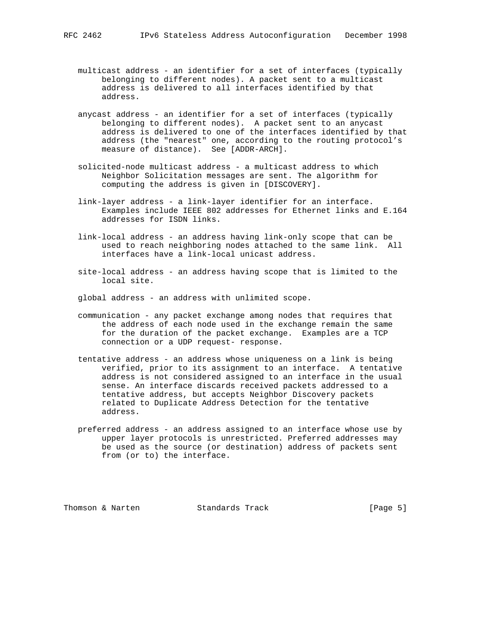- multicast address an identifier for a set of interfaces (typically belonging to different nodes). A packet sent to a multicast address is delivered to all interfaces identified by that address.
- anycast address an identifier for a set of interfaces (typically belonging to different nodes). A packet sent to an anycast address is delivered to one of the interfaces identified by that address (the "nearest" one, according to the routing protocol's measure of distance). See [ADDR-ARCH].
- solicited-node multicast address a multicast address to which Neighbor Solicitation messages are sent. The algorithm for computing the address is given in [DISCOVERY].
- link-layer address a link-layer identifier for an interface. Examples include IEEE 802 addresses for Ethernet links and E.164 addresses for ISDN links.
- link-local address an address having link-only scope that can be used to reach neighboring nodes attached to the same link. All interfaces have a link-local unicast address.
- site-local address an address having scope that is limited to the local site.
- global address an address with unlimited scope.
- communication any packet exchange among nodes that requires that the address of each node used in the exchange remain the same for the duration of the packet exchange. Examples are a TCP connection or a UDP request- response.
- tentative address an address whose uniqueness on a link is being verified, prior to its assignment to an interface. A tentative address is not considered assigned to an interface in the usual sense. An interface discards received packets addressed to a tentative address, but accepts Neighbor Discovery packets related to Duplicate Address Detection for the tentative address.
- preferred address an address assigned to an interface whose use by upper layer protocols is unrestricted. Preferred addresses may be used as the source (or destination) address of packets sent from (or to) the interface.

Thomson & Narten Standards Track [Page 5]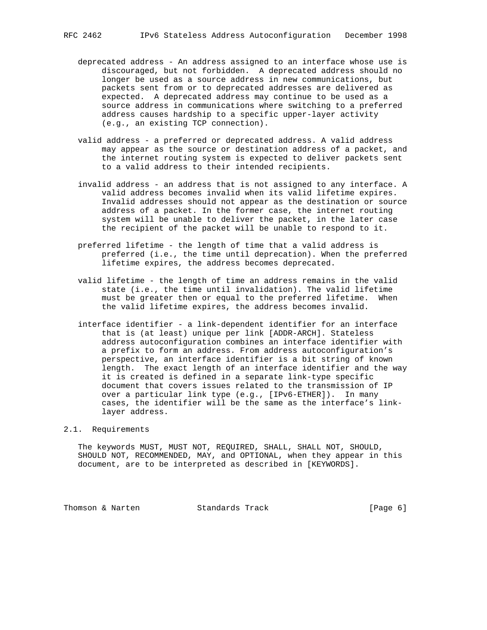- deprecated address An address assigned to an interface whose use is discouraged, but not forbidden. A deprecated address should no longer be used as a source address in new communications, but packets sent from or to deprecated addresses are delivered as expected. A deprecated address may continue to be used as a source address in communications where switching to a preferred address causes hardship to a specific upper-layer activity (e.g., an existing TCP connection).
- valid address a preferred or deprecated address. A valid address may appear as the source or destination address of a packet, and the internet routing system is expected to deliver packets sent to a valid address to their intended recipients.
- invalid address an address that is not assigned to any interface. A valid address becomes invalid when its valid lifetime expires. Invalid addresses should not appear as the destination or source address of a packet. In the former case, the internet routing system will be unable to deliver the packet, in the later case the recipient of the packet will be unable to respond to it.
- preferred lifetime the length of time that a valid address is preferred (i.e., the time until deprecation). When the preferred lifetime expires, the address becomes deprecated.
- valid lifetime the length of time an address remains in the valid state (i.e., the time until invalidation). The valid lifetime must be greater then or equal to the preferred lifetime. When the valid lifetime expires, the address becomes invalid.
- interface identifier a link-dependent identifier for an interface that is (at least) unique per link [ADDR-ARCH]. Stateless address autoconfiguration combines an interface identifier with a prefix to form an address. From address autoconfiguration's perspective, an interface identifier is a bit string of known length. The exact length of an interface identifier and the way it is created is defined in a separate link-type specific document that covers issues related to the transmission of IP over a particular link type (e.g., [IPv6-ETHER]). In many cases, the identifier will be the same as the interface's link layer address.

## 2.1. Requirements

 The keywords MUST, MUST NOT, REQUIRED, SHALL, SHALL NOT, SHOULD, SHOULD NOT, RECOMMENDED, MAY, and OPTIONAL, when they appear in this document, are to be interpreted as described in [KEYWORDS].

Thomson & Narten Standards Track [Page 6]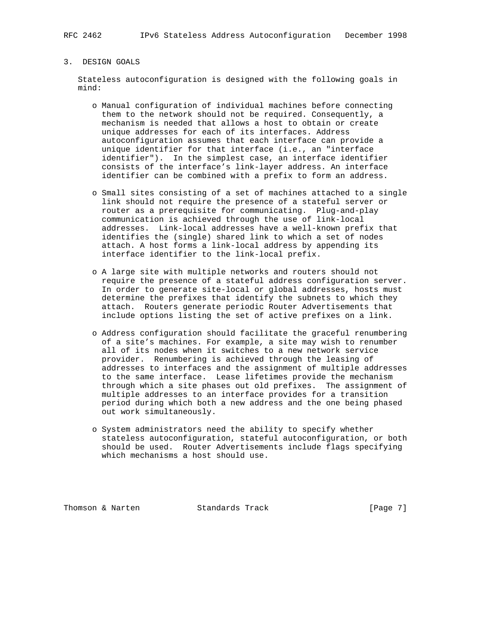## 3. DESIGN GOALS

 Stateless autoconfiguration is designed with the following goals in mind:

- o Manual configuration of individual machines before connecting them to the network should not be required. Consequently, a mechanism is needed that allows a host to obtain or create unique addresses for each of its interfaces. Address autoconfiguration assumes that each interface can provide a unique identifier for that interface (i.e., an "interface identifier"). In the simplest case, an interface identifier consists of the interface's link-layer address. An interface identifier can be combined with a prefix to form an address.
- o Small sites consisting of a set of machines attached to a single link should not require the presence of a stateful server or router as a prerequisite for communicating. Plug-and-play communication is achieved through the use of link-local addresses. Link-local addresses have a well-known prefix that identifies the (single) shared link to which a set of nodes attach. A host forms a link-local address by appending its interface identifier to the link-local prefix.
- o A large site with multiple networks and routers should not require the presence of a stateful address configuration server. In order to generate site-local or global addresses, hosts must determine the prefixes that identify the subnets to which they attach. Routers generate periodic Router Advertisements that include options listing the set of active prefixes on a link.
- o Address configuration should facilitate the graceful renumbering of a site's machines. For example, a site may wish to renumber all of its nodes when it switches to a new network service provider. Renumbering is achieved through the leasing of addresses to interfaces and the assignment of multiple addresses to the same interface. Lease lifetimes provide the mechanism through which a site phases out old prefixes. The assignment of multiple addresses to an interface provides for a transition period during which both a new address and the one being phased out work simultaneously.
- o System administrators need the ability to specify whether stateless autoconfiguration, stateful autoconfiguration, or both should be used. Router Advertisements include flags specifying which mechanisms a host should use.

Thomson & Narten Standards Track [Page 7]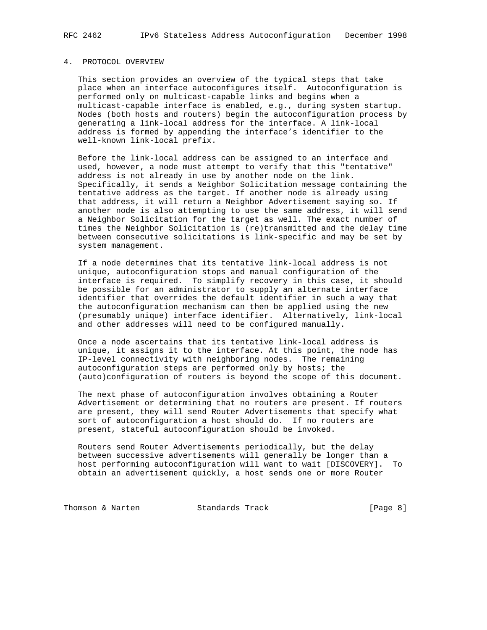## 4. PROTOCOL OVERVIEW

 This section provides an overview of the typical steps that take place when an interface autoconfigures itself. Autoconfiguration is performed only on multicast-capable links and begins when a multicast-capable interface is enabled, e.g., during system startup. Nodes (both hosts and routers) begin the autoconfiguration process by generating a link-local address for the interface. A link-local address is formed by appending the interface's identifier to the well-known link-local prefix.

 Before the link-local address can be assigned to an interface and used, however, a node must attempt to verify that this "tentative" address is not already in use by another node on the link. Specifically, it sends a Neighbor Solicitation message containing the tentative address as the target. If another node is already using that address, it will return a Neighbor Advertisement saying so. If another node is also attempting to use the same address, it will send a Neighbor Solicitation for the target as well. The exact number of times the Neighbor Solicitation is (re)transmitted and the delay time between consecutive solicitations is link-specific and may be set by system management.

 If a node determines that its tentative link-local address is not unique, autoconfiguration stops and manual configuration of the interface is required. To simplify recovery in this case, it should be possible for an administrator to supply an alternate interface identifier that overrides the default identifier in such a way that the autoconfiguration mechanism can then be applied using the new (presumably unique) interface identifier. Alternatively, link-local and other addresses will need to be configured manually.

 Once a node ascertains that its tentative link-local address is unique, it assigns it to the interface. At this point, the node has IP-level connectivity with neighboring nodes. The remaining autoconfiguration steps are performed only by hosts; the (auto)configuration of routers is beyond the scope of this document.

 The next phase of autoconfiguration involves obtaining a Router Advertisement or determining that no routers are present. If routers are present, they will send Router Advertisements that specify what sort of autoconfiguration a host should do. If no routers are present, stateful autoconfiguration should be invoked.

 Routers send Router Advertisements periodically, but the delay between successive advertisements will generally be longer than a host performing autoconfiguration will want to wait [DISCOVERY]. To obtain an advertisement quickly, a host sends one or more Router

Thomson & Narten Standards Track [Page 8]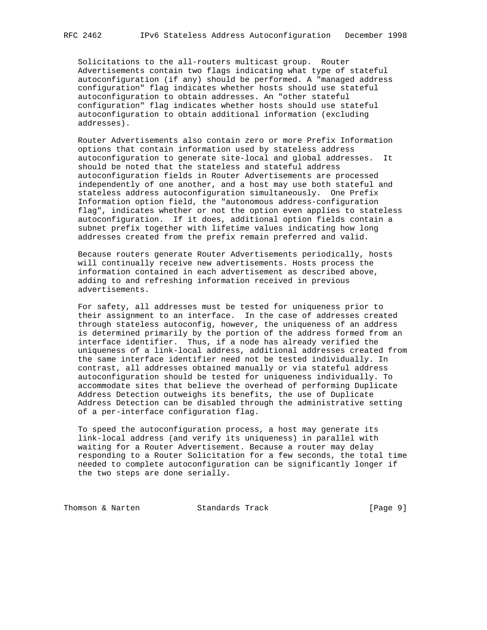Solicitations to the all-routers multicast group. Router Advertisements contain two flags indicating what type of stateful autoconfiguration (if any) should be performed. A "managed address configuration" flag indicates whether hosts should use stateful autoconfiguration to obtain addresses. An "other stateful configuration" flag indicates whether hosts should use stateful autoconfiguration to obtain additional information (excluding addresses).

 Router Advertisements also contain zero or more Prefix Information options that contain information used by stateless address autoconfiguration to generate site-local and global addresses. It should be noted that the stateless and stateful address autoconfiguration fields in Router Advertisements are processed independently of one another, and a host may use both stateful and stateless address autoconfiguration simultaneously. One Prefix Information option field, the "autonomous address-configuration flag", indicates whether or not the option even applies to stateless autoconfiguration. If it does, additional option fields contain a subnet prefix together with lifetime values indicating how long addresses created from the prefix remain preferred and valid.

 Because routers generate Router Advertisements periodically, hosts will continually receive new advertisements. Hosts process the information contained in each advertisement as described above, adding to and refreshing information received in previous advertisements.

 For safety, all addresses must be tested for uniqueness prior to their assignment to an interface. In the case of addresses created through stateless autoconfig, however, the uniqueness of an address is determined primarily by the portion of the address formed from an interface identifier. Thus, if a node has already verified the uniqueness of a link-local address, additional addresses created from the same interface identifier need not be tested individually. In contrast, all addresses obtained manually or via stateful address autoconfiguration should be tested for uniqueness individually. To accommodate sites that believe the overhead of performing Duplicate Address Detection outweighs its benefits, the use of Duplicate Address Detection can be disabled through the administrative setting of a per-interface configuration flag.

 To speed the autoconfiguration process, a host may generate its link-local address (and verify its uniqueness) in parallel with waiting for a Router Advertisement. Because a router may delay responding to a Router Solicitation for a few seconds, the total time needed to complete autoconfiguration can be significantly longer if the two steps are done serially.

Thomson & Narten Standards Track [Page 9]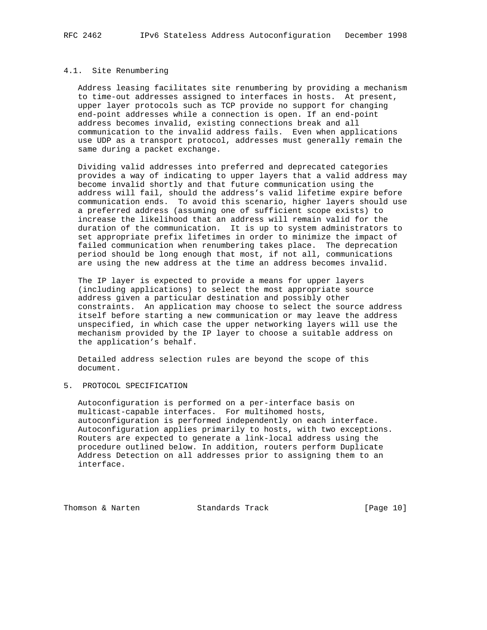#### 4.1. Site Renumbering

 Address leasing facilitates site renumbering by providing a mechanism to time-out addresses assigned to interfaces in hosts. At present, upper layer protocols such as TCP provide no support for changing end-point addresses while a connection is open. If an end-point address becomes invalid, existing connections break and all communication to the invalid address fails. Even when applications use UDP as a transport protocol, addresses must generally remain the same during a packet exchange.

 Dividing valid addresses into preferred and deprecated categories provides a way of indicating to upper layers that a valid address may become invalid shortly and that future communication using the address will fail, should the address's valid lifetime expire before communication ends. To avoid this scenario, higher layers should use a preferred address (assuming one of sufficient scope exists) to increase the likelihood that an address will remain valid for the duration of the communication. It is up to system administrators to set appropriate prefix lifetimes in order to minimize the impact of failed communication when renumbering takes place. The deprecation period should be long enough that most, if not all, communications are using the new address at the time an address becomes invalid.

 The IP layer is expected to provide a means for upper layers (including applications) to select the most appropriate source address given a particular destination and possibly other constraints. An application may choose to select the source address itself before starting a new communication or may leave the address unspecified, in which case the upper networking layers will use the mechanism provided by the IP layer to choose a suitable address on the application's behalf.

 Detailed address selection rules are beyond the scope of this document.

5. PROTOCOL SPECIFICATION

 Autoconfiguration is performed on a per-interface basis on multicast-capable interfaces. For multihomed hosts, autoconfiguration is performed independently on each interface. Autoconfiguration applies primarily to hosts, with two exceptions. Routers are expected to generate a link-local address using the procedure outlined below. In addition, routers perform Duplicate Address Detection on all addresses prior to assigning them to an interface.

Thomson & Narten Standards Track [Page 10]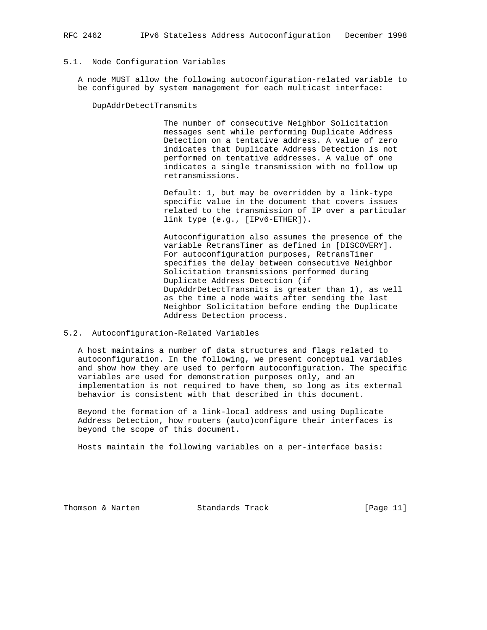#### 5.1. Node Configuration Variables

 A node MUST allow the following autoconfiguration-related variable to be configured by system management for each multicast interface:

DupAddrDetectTransmits

 The number of consecutive Neighbor Solicitation messages sent while performing Duplicate Address Detection on a tentative address. A value of zero indicates that Duplicate Address Detection is not performed on tentative addresses. A value of one indicates a single transmission with no follow up retransmissions.

 Default: 1, but may be overridden by a link-type specific value in the document that covers issues related to the transmission of IP over a particular link type (e.g., [IPv6-ETHER]).

 Autoconfiguration also assumes the presence of the variable RetransTimer as defined in [DISCOVERY]. For autoconfiguration purposes, RetransTimer specifies the delay between consecutive Neighbor Solicitation transmissions performed during Duplicate Address Detection (if DupAddrDetectTransmits is greater than 1), as well as the time a node waits after sending the last Neighbor Solicitation before ending the Duplicate Address Detection process.

# 5.2. Autoconfiguration-Related Variables

 A host maintains a number of data structures and flags related to autoconfiguration. In the following, we present conceptual variables and show how they are used to perform autoconfiguration. The specific variables are used for demonstration purposes only, and an implementation is not required to have them, so long as its external behavior is consistent with that described in this document.

 Beyond the formation of a link-local address and using Duplicate Address Detection, how routers (auto)configure their interfaces is beyond the scope of this document.

Hosts maintain the following variables on a per-interface basis:

Thomson & Narten Standards Track [Page 11]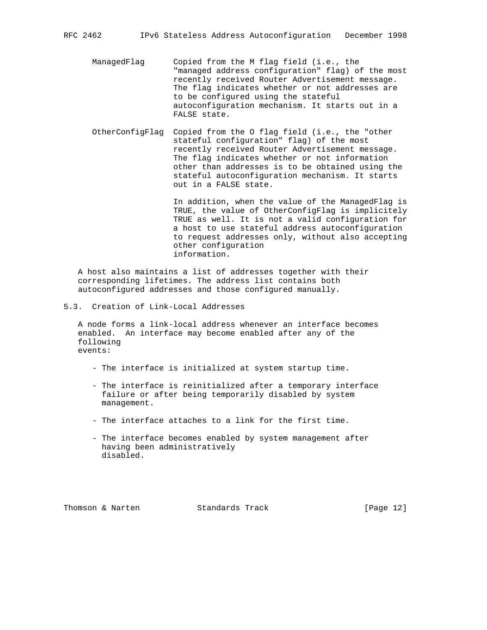- ManagedFlag Copied from the M flag field (i.e., the "managed address configuration" flag) of the most recently received Router Advertisement message. The flag indicates whether or not addresses are to be configured using the stateful autoconfiguration mechanism. It starts out in a FALSE state.
- OtherConfigFlag Copied from the O flag field (i.e., the "other stateful configuration" flag) of the most recently received Router Advertisement message. The flag indicates whether or not information other than addresses is to be obtained using the stateful autoconfiguration mechanism. It starts out in a FALSE state.

 In addition, when the value of the ManagedFlag is TRUE, the value of OtherConfigFlag is implicitely TRUE as well. It is not a valid configuration for a host to use stateful address autoconfiguration to request addresses only, without also accepting other configuration information.

 A host also maintains a list of addresses together with their corresponding lifetimes. The address list contains both autoconfigured addresses and those configured manually.

5.3. Creation of Link-Local Addresses

 A node forms a link-local address whenever an interface becomes enabled. An interface may become enabled after any of the following events:

- The interface is initialized at system startup time.
- The interface is reinitialized after a temporary interface failure or after being temporarily disabled by system management.
- The interface attaches to a link for the first time.
- The interface becomes enabled by system management after having been administratively disabled.

Thomson & Narten Standards Track [Page 12]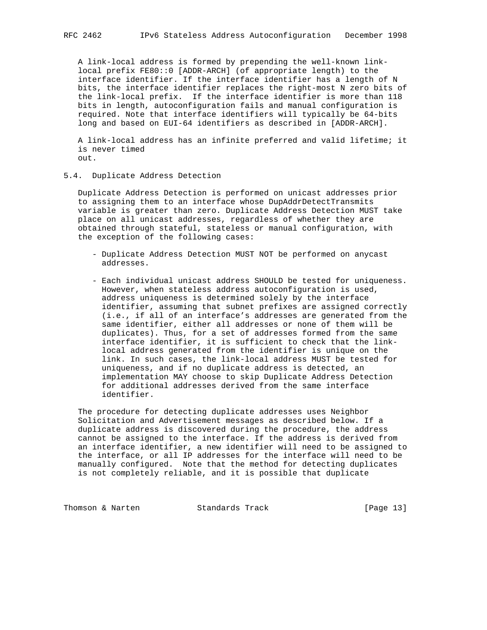A link-local address is formed by prepending the well-known link local prefix FE80::0 [ADDR-ARCH] (of appropriate length) to the interface identifier. If the interface identifier has a length of N bits, the interface identifier replaces the right-most N zero bits of the link-local prefix. If the interface identifier is more than 118 bits in length, autoconfiguration fails and manual configuration is required. Note that interface identifiers will typically be 64-bits long and based on EUI-64 identifiers as described in [ADDR-ARCH].

 A link-local address has an infinite preferred and valid lifetime; it is never timed

out.

#### 5.4. Duplicate Address Detection

 Duplicate Address Detection is performed on unicast addresses prior to assigning them to an interface whose DupAddrDetectTransmits variable is greater than zero. Duplicate Address Detection MUST take place on all unicast addresses, regardless of whether they are obtained through stateful, stateless or manual configuration, with the exception of the following cases:

- Duplicate Address Detection MUST NOT be performed on anycast addresses.
- Each individual unicast address SHOULD be tested for uniqueness. However, when stateless address autoconfiguration is used, address uniqueness is determined solely by the interface identifier, assuming that subnet prefixes are assigned correctly (i.e., if all of an interface's addresses are generated from the same identifier, either all addresses or none of them will be duplicates). Thus, for a set of addresses formed from the same interface identifier, it is sufficient to check that the link local address generated from the identifier is unique on the link. In such cases, the link-local address MUST be tested for uniqueness, and if no duplicate address is detected, an implementation MAY choose to skip Duplicate Address Detection for additional addresses derived from the same interface identifier.

 The procedure for detecting duplicate addresses uses Neighbor Solicitation and Advertisement messages as described below. If a duplicate address is discovered during the procedure, the address cannot be assigned to the interface. If the address is derived from an interface identifier, a new identifier will need to be assigned to the interface, or all IP addresses for the interface will need to be manually configured. Note that the method for detecting duplicates is not completely reliable, and it is possible that duplicate

Thomson & Narten Standards Track [Page 13]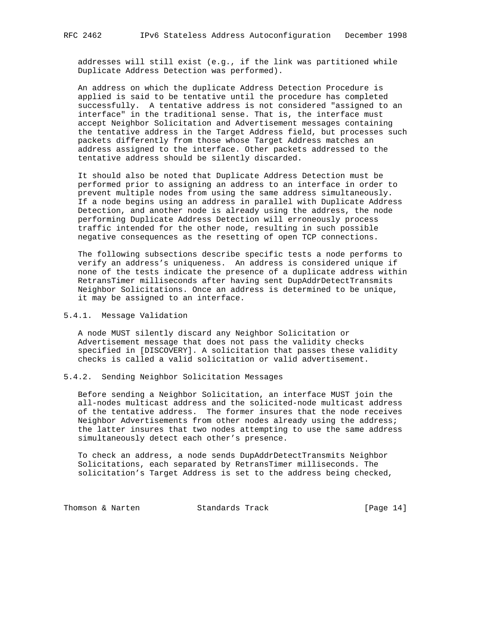addresses will still exist (e.g., if the link was partitioned while Duplicate Address Detection was performed).

 An address on which the duplicate Address Detection Procedure is applied is said to be tentative until the procedure has completed successfully. A tentative address is not considered "assigned to an interface" in the traditional sense. That is, the interface must accept Neighbor Solicitation and Advertisement messages containing the tentative address in the Target Address field, but processes such packets differently from those whose Target Address matches an address assigned to the interface. Other packets addressed to the tentative address should be silently discarded.

 It should also be noted that Duplicate Address Detection must be performed prior to assigning an address to an interface in order to prevent multiple nodes from using the same address simultaneously. If a node begins using an address in parallel with Duplicate Address Detection, and another node is already using the address, the node performing Duplicate Address Detection will erroneously process traffic intended for the other node, resulting in such possible negative consequences as the resetting of open TCP connections.

 The following subsections describe specific tests a node performs to verify an address's uniqueness. An address is considered unique if none of the tests indicate the presence of a duplicate address within RetransTimer milliseconds after having sent DupAddrDetectTransmits Neighbor Solicitations. Once an address is determined to be unique, it may be assigned to an interface.

## 5.4.1. Message Validation

 A node MUST silently discard any Neighbor Solicitation or Advertisement message that does not pass the validity checks specified in [DISCOVERY]. A solicitation that passes these validity checks is called a valid solicitation or valid advertisement.

#### 5.4.2. Sending Neighbor Solicitation Messages

 Before sending a Neighbor Solicitation, an interface MUST join the all-nodes multicast address and the solicited-node multicast address of the tentative address. The former insures that the node receives Neighbor Advertisements from other nodes already using the address; the latter insures that two nodes attempting to use the same address simultaneously detect each other's presence.

 To check an address, a node sends DupAddrDetectTransmits Neighbor Solicitations, each separated by RetransTimer milliseconds. The solicitation's Target Address is set to the address being checked,

Thomson & Narten Standards Track [Page 14]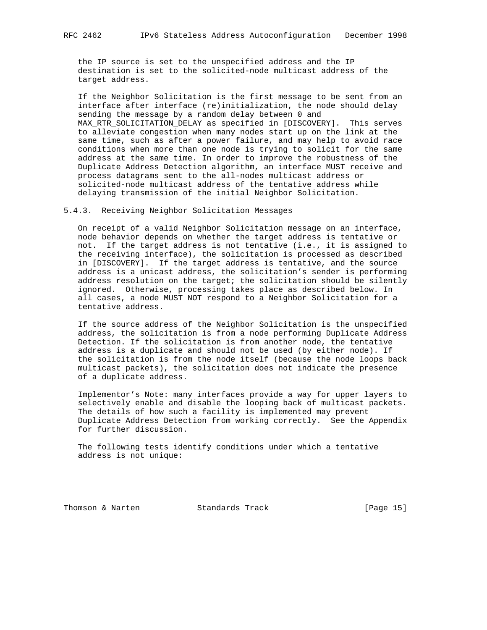the IP source is set to the unspecified address and the IP destination is set to the solicited-node multicast address of the target address.

 If the Neighbor Solicitation is the first message to be sent from an interface after interface (re)initialization, the node should delay sending the message by a random delay between 0 and MAX\_RTR\_SOLICITATION\_DELAY as specified in [DISCOVERY]. This serves to alleviate congestion when many nodes start up on the link at the same time, such as after a power failure, and may help to avoid race conditions when more than one node is trying to solicit for the same address at the same time. In order to improve the robustness of the Duplicate Address Detection algorithm, an interface MUST receive and process datagrams sent to the all-nodes multicast address or solicited-node multicast address of the tentative address while delaying transmission of the initial Neighbor Solicitation.

5.4.3. Receiving Neighbor Solicitation Messages

 On receipt of a valid Neighbor Solicitation message on an interface, node behavior depends on whether the target address is tentative or not. If the target address is not tentative (i.e., it is assigned to the receiving interface), the solicitation is processed as described in [DISCOVERY]. If the target address is tentative, and the source address is a unicast address, the solicitation's sender is performing address resolution on the target; the solicitation should be silently ignored. Otherwise, processing takes place as described below. In all cases, a node MUST NOT respond to a Neighbor Solicitation for a tentative address.

 If the source address of the Neighbor Solicitation is the unspecified address, the solicitation is from a node performing Duplicate Address Detection. If the solicitation is from another node, the tentative address is a duplicate and should not be used (by either node). If the solicitation is from the node itself (because the node loops back multicast packets), the solicitation does not indicate the presence of a duplicate address.

 Implementor's Note: many interfaces provide a way for upper layers to selectively enable and disable the looping back of multicast packets. The details of how such a facility is implemented may prevent Duplicate Address Detection from working correctly. See the Appendix for further discussion.

 The following tests identify conditions under which a tentative address is not unique:

Thomson & Narten Standards Track [Page 15]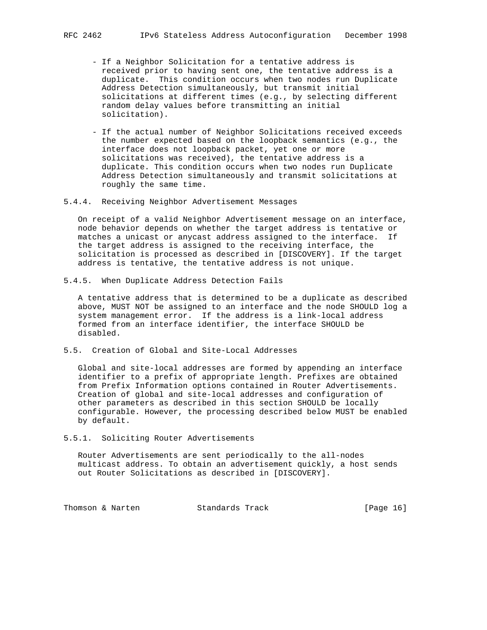- If a Neighbor Solicitation for a tentative address is received prior to having sent one, the tentative address is a duplicate. This condition occurs when two nodes run Duplicate Address Detection simultaneously, but transmit initial solicitations at different times (e.g., by selecting different random delay values before transmitting an initial solicitation).
- If the actual number of Neighbor Solicitations received exceeds the number expected based on the loopback semantics (e.g., the interface does not loopback packet, yet one or more solicitations was received), the tentative address is a duplicate. This condition occurs when two nodes run Duplicate Address Detection simultaneously and transmit solicitations at roughly the same time.
- 5.4.4. Receiving Neighbor Advertisement Messages

 On receipt of a valid Neighbor Advertisement message on an interface, node behavior depends on whether the target address is tentative or matches a unicast or anycast address assigned to the interface. If the target address is assigned to the receiving interface, the solicitation is processed as described in [DISCOVERY]. If the target address is tentative, the tentative address is not unique.

5.4.5. When Duplicate Address Detection Fails

 A tentative address that is determined to be a duplicate as described above, MUST NOT be assigned to an interface and the node SHOULD log a system management error. If the address is a link-local address formed from an interface identifier, the interface SHOULD be disabled.

5.5. Creation of Global and Site-Local Addresses

 Global and site-local addresses are formed by appending an interface identifier to a prefix of appropriate length. Prefixes are obtained from Prefix Information options contained in Router Advertisements. Creation of global and site-local addresses and configuration of other parameters as described in this section SHOULD be locally configurable. However, the processing described below MUST be enabled by default.

5.5.1. Soliciting Router Advertisements

 Router Advertisements are sent periodically to the all-nodes multicast address. To obtain an advertisement quickly, a host sends out Router Solicitations as described in [DISCOVERY].

Thomson & Narten Standards Track [Page 16]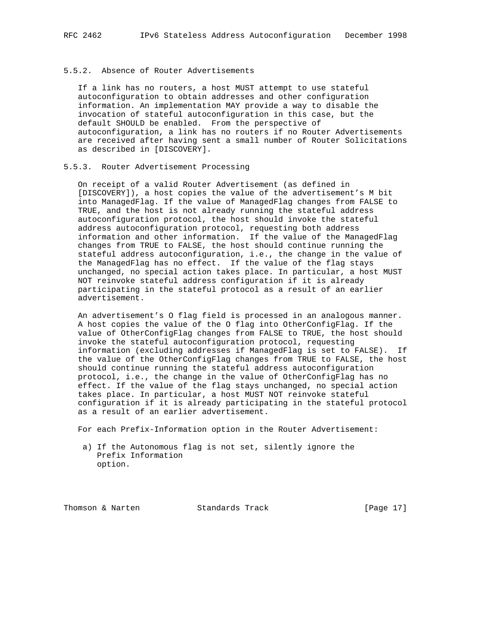#### 5.5.2. Absence of Router Advertisements

 If a link has no routers, a host MUST attempt to use stateful autoconfiguration to obtain addresses and other configuration information. An implementation MAY provide a way to disable the invocation of stateful autoconfiguration in this case, but the default SHOULD be enabled. From the perspective of autoconfiguration, a link has no routers if no Router Advertisements are received after having sent a small number of Router Solicitations as described in [DISCOVERY].

#### 5.5.3. Router Advertisement Processing

 On receipt of a valid Router Advertisement (as defined in [DISCOVERY]), a host copies the value of the advertisement's M bit into ManagedFlag. If the value of ManagedFlag changes from FALSE to TRUE, and the host is not already running the stateful address autoconfiguration protocol, the host should invoke the stateful address autoconfiguration protocol, requesting both address information and other information. If the value of the ManagedFlag changes from TRUE to FALSE, the host should continue running the stateful address autoconfiguration, i.e., the change in the value of the ManagedFlag has no effect. If the value of the flag stays unchanged, no special action takes place. In particular, a host MUST NOT reinvoke stateful address configuration if it is already participating in the stateful protocol as a result of an earlier advertisement.

 An advertisement's O flag field is processed in an analogous manner. A host copies the value of the O flag into OtherConfigFlag. If the value of OtherConfigFlag changes from FALSE to TRUE, the host should invoke the stateful autoconfiguration protocol, requesting information (excluding addresses if ManagedFlag is set to FALSE). If the value of the OtherConfigFlag changes from TRUE to FALSE, the host should continue running the stateful address autoconfiguration protocol, i.e., the change in the value of OtherConfigFlag has no effect. If the value of the flag stays unchanged, no special action takes place. In particular, a host MUST NOT reinvoke stateful configuration if it is already participating in the stateful protocol as a result of an earlier advertisement.

For each Prefix-Information option in the Router Advertisement:

 a) If the Autonomous flag is not set, silently ignore the Prefix Information option.

Thomson & Narten Standards Track [Page 17]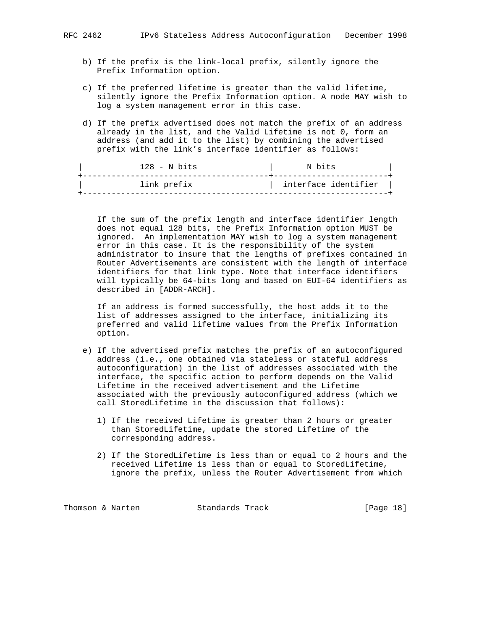- b) If the prefix is the link-local prefix, silently ignore the Prefix Information option.
- c) If the preferred lifetime is greater than the valid lifetime, silently ignore the Prefix Information option. A node MAY wish to log a system management error in this case.
- d) If the prefix advertised does not match the prefix of an address already in the list, and the Valid Lifetime is not 0, form an address (and add it to the list) by combining the advertised prefix with the link's interface identifier as follows:

| $128 - N$ bits | N bits               |
|----------------|----------------------|
| link prefix    | interface identifier |

 If the sum of the prefix length and interface identifier length does not equal 128 bits, the Prefix Information option MUST be ignored. An implementation MAY wish to log a system management error in this case. It is the responsibility of the system administrator to insure that the lengths of prefixes contained in Router Advertisements are consistent with the length of interface identifiers for that link type. Note that interface identifiers will typically be 64-bits long and based on EUI-64 identifiers as described in [ADDR-ARCH].

 If an address is formed successfully, the host adds it to the list of addresses assigned to the interface, initializing its preferred and valid lifetime values from the Prefix Information option.

- e) If the advertised prefix matches the prefix of an autoconfigured address (i.e., one obtained via stateless or stateful address autoconfiguration) in the list of addresses associated with the interface, the specific action to perform depends on the Valid Lifetime in the received advertisement and the Lifetime associated with the previously autoconfigured address (which we call StoredLifetime in the discussion that follows):
	- 1) If the received Lifetime is greater than 2 hours or greater than StoredLifetime, update the stored Lifetime of the corresponding address.
	- 2) If the StoredLifetime is less than or equal to 2 hours and the received Lifetime is less than or equal to StoredLifetime, ignore the prefix, unless the Router Advertisement from which

Thomson & Narten Standards Track [Page 18]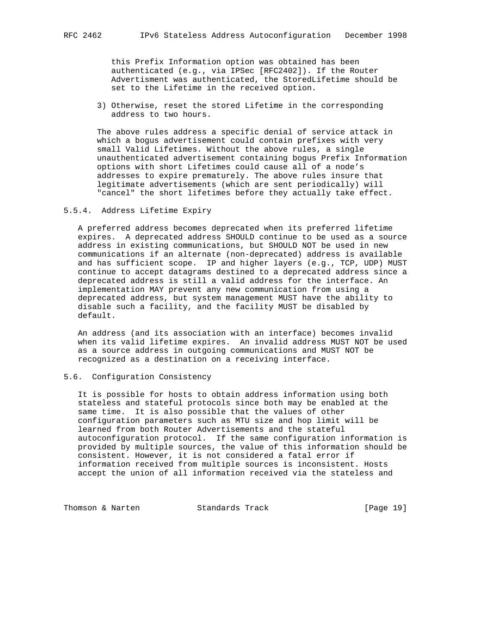this Prefix Information option was obtained has been authenticated (e.g., via IPSec [RFC2402]). If the Router Advertisment was authenticated, the StoredLifetime should be set to the Lifetime in the received option.

 3) Otherwise, reset the stored Lifetime in the corresponding address to two hours.

 The above rules address a specific denial of service attack in which a bogus advertisement could contain prefixes with very small Valid Lifetimes. Without the above rules, a single unauthenticated advertisement containing bogus Prefix Information options with short Lifetimes could cause all of a node's addresses to expire prematurely. The above rules insure that legitimate advertisements (which are sent periodically) will "cancel" the short lifetimes before they actually take effect.

# 5.5.4. Address Lifetime Expiry

 A preferred address becomes deprecated when its preferred lifetime expires. A deprecated address SHOULD continue to be used as a source address in existing communications, but SHOULD NOT be used in new communications if an alternate (non-deprecated) address is available and has sufficient scope. IP and higher layers (e.g., TCP, UDP) MUST continue to accept datagrams destined to a deprecated address since a deprecated address is still a valid address for the interface. An implementation MAY prevent any new communication from using a deprecated address, but system management MUST have the ability to disable such a facility, and the facility MUST be disabled by default.

 An address (and its association with an interface) becomes invalid when its valid lifetime expires. An invalid address MUST NOT be used as a source address in outgoing communications and MUST NOT be recognized as a destination on a receiving interface.

## 5.6. Configuration Consistency

 It is possible for hosts to obtain address information using both stateless and stateful protocols since both may be enabled at the same time. It is also possible that the values of other configuration parameters such as MTU size and hop limit will be learned from both Router Advertisements and the stateful autoconfiguration protocol. If the same configuration information is provided by multiple sources, the value of this information should be consistent. However, it is not considered a fatal error if information received from multiple sources is inconsistent. Hosts accept the union of all information received via the stateless and

Thomson & Narten Standards Track [Page 19]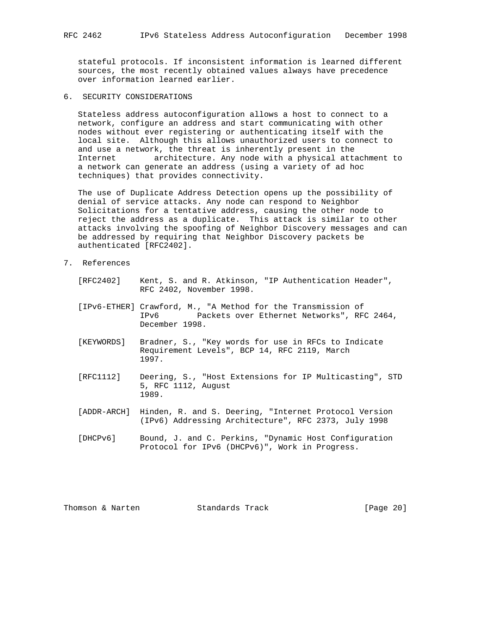stateful protocols. If inconsistent information is learned different sources, the most recently obtained values always have precedence over information learned earlier.

6. SECURITY CONSIDERATIONS

 Stateless address autoconfiguration allows a host to connect to a network, configure an address and start communicating with other nodes without ever registering or authenticating itself with the local site. Although this allows unauthorized users to connect to and use a network, the threat is inherently present in the Internet architecture. Any node with a physical attachment to a network can generate an address (using a variety of ad hoc techniques) that provides connectivity.

 The use of Duplicate Address Detection opens up the possibility of denial of service attacks. Any node can respond to Neighbor Solicitations for a tentative address, causing the other node to reject the address as a duplicate. This attack is similar to other attacks involving the spoofing of Neighbor Discovery messages and can be addressed by requiring that Neighbor Discovery packets be authenticated [RFC2402].

- 7. References
	- [RFC2402] Kent, S. and R. Atkinson, "IP Authentication Header", RFC 2402, November 1998.
	- [IPv6-ETHER] Crawford, M., "A Method for the Transmission of IPv6 Packets over Ethernet Networks", RFC 2464, December 1998.
	- [KEYWORDS] Bradner, S., "Key words for use in RFCs to Indicate Requirement Levels", BCP 14, RFC 2119, March 1997.
	- [RFC1112] Deering, S., "Host Extensions for IP Multicasting", STD 5, RFC 1112, August 1989.
	- [ADDR-ARCH] Hinden, R. and S. Deering, "Internet Protocol Version (IPv6) Addressing Architecture", RFC 2373, July 1998
	- [DHCPv6] Bound, J. and C. Perkins, "Dynamic Host Configuration Protocol for IPv6 (DHCPv6)", Work in Progress.

Thomson & Narten Standards Track [Page 20]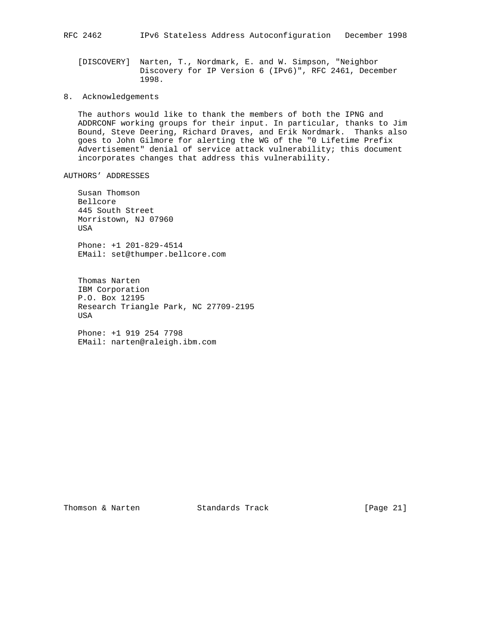[DISCOVERY] Narten, T., Nordmark, E. and W. Simpson, "Neighbor Discovery for IP Version 6 (IPv6)", RFC 2461, December 1998.

8. Acknowledgements

 The authors would like to thank the members of both the IPNG and ADDRCONF working groups for their input. In particular, thanks to Jim Bound, Steve Deering, Richard Draves, and Erik Nordmark. Thanks also goes to John Gilmore for alerting the WG of the "0 Lifetime Prefix Advertisement" denial of service attack vulnerability; this document incorporates changes that address this vulnerability.

AUTHORS' ADDRESSES

 Susan Thomson Bellcore 445 South Street Morristown, NJ 07960 USA

 Phone: +1 201-829-4514 EMail: set@thumper.bellcore.com

 Thomas Narten IBM Corporation P.O. Box 12195 Research Triangle Park, NC 27709-2195 USA

 Phone: +1 919 254 7798 EMail: narten@raleigh.ibm.com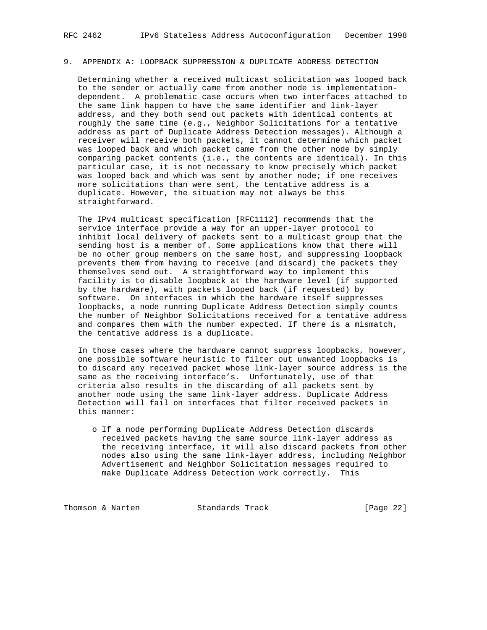## 9. APPENDIX A: LOOPBACK SUPPRESSION & DUPLICATE ADDRESS DETECTION

 Determining whether a received multicast solicitation was looped back to the sender or actually came from another node is implementation dependent. A problematic case occurs when two interfaces attached to the same link happen to have the same identifier and link-layer address, and they both send out packets with identical contents at roughly the same time (e.g., Neighbor Solicitations for a tentative address as part of Duplicate Address Detection messages). Although a receiver will receive both packets, it cannot determine which packet was looped back and which packet came from the other node by simply comparing packet contents (i.e., the contents are identical). In this particular case, it is not necessary to know precisely which packet was looped back and which was sent by another node; if one receives more solicitations than were sent, the tentative address is a duplicate. However, the situation may not always be this straightforward.

 The IPv4 multicast specification [RFC1112] recommends that the service interface provide a way for an upper-layer protocol to inhibit local delivery of packets sent to a multicast group that the sending host is a member of. Some applications know that there will be no other group members on the same host, and suppressing loopback prevents them from having to receive (and discard) the packets they themselves send out. A straightforward way to implement this facility is to disable loopback at the hardware level (if supported by the hardware), with packets looped back (if requested) by software. On interfaces in which the hardware itself suppresses loopbacks, a node running Duplicate Address Detection simply counts the number of Neighbor Solicitations received for a tentative address and compares them with the number expected. If there is a mismatch, the tentative address is a duplicate.

 In those cases where the hardware cannot suppress loopbacks, however, one possible software heuristic to filter out unwanted loopbacks is to discard any received packet whose link-layer source address is the same as the receiving interface's. Unfortunately, use of that criteria also results in the discarding of all packets sent by another node using the same link-layer address. Duplicate Address Detection will fail on interfaces that filter received packets in this manner:

 o If a node performing Duplicate Address Detection discards received packets having the same source link-layer address as the receiving interface, it will also discard packets from other nodes also using the same link-layer address, including Neighbor Advertisement and Neighbor Solicitation messages required to make Duplicate Address Detection work correctly. This

Thomson & Narten Standards Track [Page 22]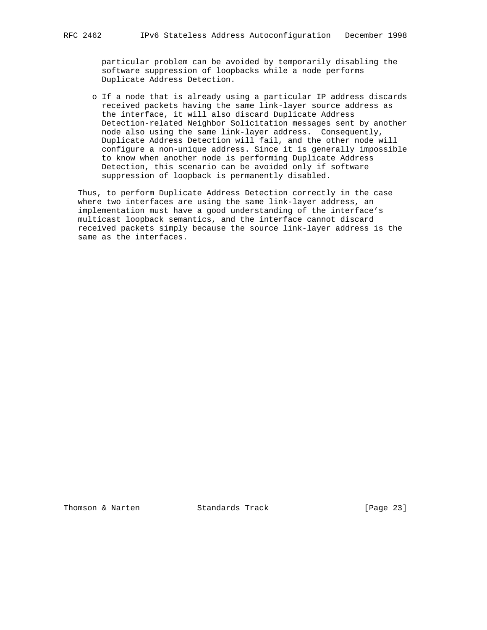particular problem can be avoided by temporarily disabling the software suppression of loopbacks while a node performs Duplicate Address Detection.

 o If a node that is already using a particular IP address discards received packets having the same link-layer source address as the interface, it will also discard Duplicate Address Detection-related Neighbor Solicitation messages sent by another node also using the same link-layer address. Consequently, Duplicate Address Detection will fail, and the other node will configure a non-unique address. Since it is generally impossible to know when another node is performing Duplicate Address Detection, this scenario can be avoided only if software suppression of loopback is permanently disabled.

 Thus, to perform Duplicate Address Detection correctly in the case where two interfaces are using the same link-layer address, an implementation must have a good understanding of the interface's multicast loopback semantics, and the interface cannot discard received packets simply because the source link-layer address is the same as the interfaces.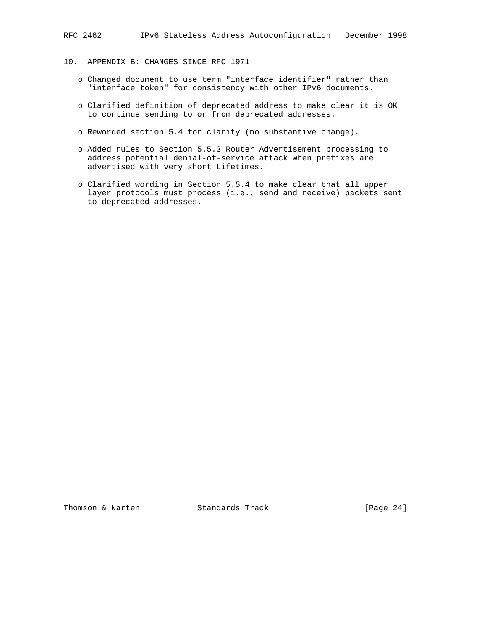## 10. APPENDIX B: CHANGES SINCE RFC 1971

- o Changed document to use term "interface identifier" rather than "interface token" for consistency with other IPv6 documents.
- o Clarified definition of deprecated address to make clear it is OK to continue sending to or from deprecated addresses.
- o Reworded section 5.4 for clarity (no substantive change).
- o Added rules to Section 5.5.3 Router Advertisement processing to address potential denial-of-service attack when prefixes are advertised with very short Lifetimes.
- o Clarified wording in Section 5.5.4 to make clear that all upper layer protocols must process (i.e., send and receive) packets sent to deprecated addresses.